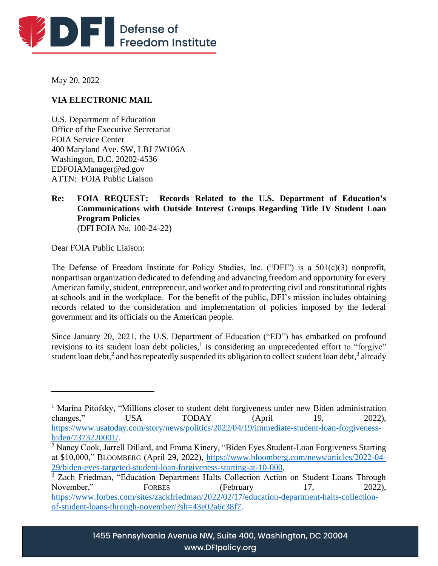

May 20, 2022

# **VIA ELECTRONIC MAIL**

U.S. Department of Education Office of the Executive Secretariat FOIA Service Center 400 Maryland Ave. SW, LBJ 7W106A Washington, D.C. 20202-4536 EDFOIAManager@ed.gov ATTN: FOIA Public Liaison

#### **Re: FOIA REQUEST: Records Related to the U.S. Department of Education's Communications with Outside Interest Groups Regarding Title IV Student Loan Program Policies** (DFI FOIA No. 100-24-22)

Dear FOIA Public Liaison:

The Defense of Freedom Institute for Policy Studies, Inc. ("DFI") is a 501(c)(3) nonprofit, nonpartisan organization dedicated to defending and advancing freedom and opportunity for every American family, student, entrepreneur, and worker and to protecting civil and constitutional rights at schools and in the workplace. For the benefit of the public, DFI's mission includes obtaining records related to the consideration and implementation of policies imposed by the federal government and its officials on the American people.

Since January 20, 2021, the U.S. Department of Education ("ED") has embarked on profound revisions to its student loan debt policies,<sup>1</sup> is considering an unprecedented effort to "forgive" student loan debt,<sup>2</sup> and has repeatedly suspended its obligation to collect student loan debt,<sup>3</sup> already

<sup>&</sup>lt;sup>1</sup> Marina Pitofsky, "Millions closer to student debt forgiveness under new Biden administration changes," USA TODAY (April 19, 2022), [https://www.usatoday.com/story/news/politics/2022/04/19/immediate-student-loan-forgiveness](https://www.usatoday.com/story/news/politics/2022/04/19/immediate-student-loan-forgiveness-biden/7373220001/)[biden/7373220001/.](https://www.usatoday.com/story/news/politics/2022/04/19/immediate-student-loan-forgiveness-biden/7373220001/)

<sup>&</sup>lt;sup>2</sup> Nancy Cook, Jarrell Dillard, and Emma Kinery, "Biden Eyes Student-Loan Forgiveness Starting at \$10,000," BLOOMBERG (April 29, 2022), [https://www.bloomberg.com/news/articles/2022-04-](https://www.bloomberg.com/news/articles/2022-04-29/biden-eyes-targeted-student-loan-forgiveness-starting-at-10-000) [29/biden-eyes-targeted-student-loan-forgiveness-starting-at-10-000.](https://www.bloomberg.com/news/articles/2022-04-29/biden-eyes-targeted-student-loan-forgiveness-starting-at-10-000)

<sup>&</sup>lt;sup>3</sup> Zach Friedman, "Education Department Halts Collection Action on Student Loans Through November," FORBES (February 17, 2022), [https://www.forbes.com/sites/zackfriedman/2022/02/17/education-department-halts-collection](https://www.forbes.com/sites/zackfriedman/2022/02/17/education-department-halts-collection-of-student-loans-through-november/?sh=43e02a6c38f7)[of-student-loans-through-november/?sh=43e02a6c38f7.](https://www.forbes.com/sites/zackfriedman/2022/02/17/education-department-halts-collection-of-student-loans-through-november/?sh=43e02a6c38f7)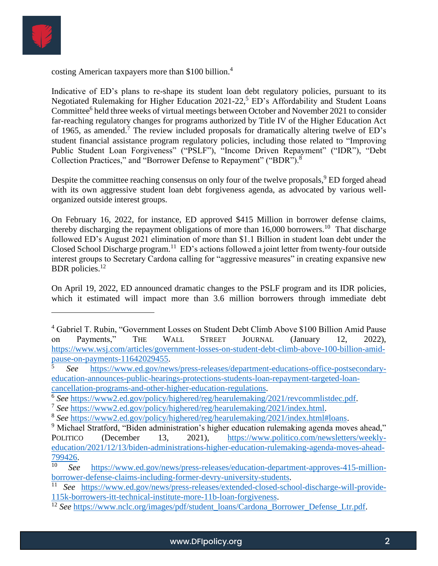

costing American taxpayers more than \$100 billion.<sup>4</sup>

Indicative of ED's plans to re-shape its student loan debt regulatory policies, pursuant to its Negotiated Rulemaking for Higher Education  $2021-22<sup>5</sup>$  ED's Affordability and Student Loans Committee<sup>6</sup> held three weeks of virtual meetings between October and November 2021 to consider far-reaching regulatory changes for programs authorized by Title IV of the Higher Education Act of 1965, as amended.<sup>7</sup> The review included proposals for dramatically altering twelve of  $ED$ 's student financial assistance program regulatory policies, including those related to "Improving Public Student Loan Forgiveness" ("PSLF"), "Income Driven Repayment" ("IDR"), "Debt Collection Practices," and "Borrower Defense to Repayment" ("BDR").<sup>8</sup>

Despite the committee reaching consensus on only four of the twelve proposals,<sup>9</sup> ED forged ahead with its own aggressive student loan debt forgiveness agenda, as advocated by various wellorganized outside interest groups.

On February 16, 2022, for instance, ED approved \$415 Million in borrower defense claims, thereby discharging the repayment obligations of more than  $16,000$  borrowers.<sup>10</sup> That discharge followed ED's August 2021 elimination of more than \$1.1 Billion in student loan debt under the Closed School Discharge program.<sup>11</sup> ED's actions followed a joint letter from twenty-four outside interest groups to Secretary Cardona calling for "aggressive measures" in creating expansive new BDR policies.<sup>12</sup>

On April 19, 2022, ED announced dramatic changes to the PSLF program and its IDR policies, which it estimated will impact more than 3.6 million borrowers through immediate debt

<sup>4</sup> Gabriel T. Rubin, "Government Losses on Student Debt Climb Above \$100 Billion Amid Pause on Payments," THE WALL STREET JOURNAL (January 12, 2022), [https://www.wsj.com/articles/government-losses-on-student-debt-climb-above-100-billion-amid](https://www.wsj.com/articles/government-losses-on-student-debt-climb-above-100-billion-amid-pause-on-payments-11642029455)[pause-on-payments-11642029455.](https://www.wsj.com/articles/government-losses-on-student-debt-climb-above-100-billion-amid-pause-on-payments-11642029455)

<sup>5</sup> *See* [https://www.ed.gov/news/press-releases/department-educations-office-postsecondary](https://www.ed.gov/news/press-releases/department-educations-office-postsecondary-education-announces-public-hearings-protections-students-loan-repayment-targeted-loan-cancellation-programs-and-other-higher-education-regulations)[education-announces-public-hearings-protections-students-loan-repayment-targeted-loan](https://www.ed.gov/news/press-releases/department-educations-office-postsecondary-education-announces-public-hearings-protections-students-loan-repayment-targeted-loan-cancellation-programs-and-other-higher-education-regulations)[cancellation-programs-and-other-higher-education-regulations.](https://www.ed.gov/news/press-releases/department-educations-office-postsecondary-education-announces-public-hearings-protections-students-loan-repayment-targeted-loan-cancellation-programs-and-other-higher-education-regulations)

<sup>&</sup>lt;sup>6</sup> See [https://www2.ed.gov/policy/highered/reg/hearulemaking/2021/revcommlistdec.pdf.](https://www2.ed.gov/policy/highered/reg/hearulemaking/2021/revcommlistdec.pdf)

<sup>7</sup> *See* [https://www2.ed.gov/policy/highered/reg/hearulemaking/2021/index.html.](https://www2.ed.gov/policy/highered/reg/hearulemaking/2021/index.html)

<sup>8</sup> *See* [https://www2.ed.gov/policy/highered/reg/hearulemaking/2021/index.html#loans.](https://www2.ed.gov/policy/highered/reg/hearulemaking/2021/index.html#loans)

<sup>&</sup>lt;sup>9</sup> Michael Stratford, "Biden administration's higher education rulemaking agenda moves ahead," POLITICO (December 13, 2021), [https://www.politico.com/newsletters/weekly](https://www.politico.com/newsletters/weekly-education/2021/12/13/biden-administrations-higher-education-rulemaking-agenda-moves-ahead-799426)[education/2021/12/13/biden-administrations-higher-education-rulemaking-agenda-moves-ahead-](https://www.politico.com/newsletters/weekly-education/2021/12/13/biden-administrations-higher-education-rulemaking-agenda-moves-ahead-799426) $\frac{799426}{10}$ .

See [https://www.ed.gov/news/press-releases/education-department-approves-415-million](https://www.ed.gov/news/press-releases/education-department-approves-415-million-borrower-defense-claims-including-former-devry-university-students)[borrower-defense-claims-including-former-devry-university-students.](https://www.ed.gov/news/press-releases/education-department-approves-415-million-borrower-defense-claims-including-former-devry-university-students)

<sup>11</sup> *See* [https://www.ed.gov/news/press-releases/extended-closed-school-discharge-will-provide-](https://www.ed.gov/news/press-releases/extended-closed-school-discharge-will-provide-115k-borrowers-itt-technical-institute-more-11b-loan-forgiveness)[115k-borrowers-itt-technical-institute-more-11b-loan-forgiveness.](https://www.ed.gov/news/press-releases/extended-closed-school-discharge-will-provide-115k-borrowers-itt-technical-institute-more-11b-loan-forgiveness)

<sup>&</sup>lt;sup>12</sup> See [https://www.nclc.org/images/pdf/student\\_loans/Cardona\\_Borrower\\_Defense\\_Ltr.pdf.](https://www.nclc.org/images/pdf/student_loans/Cardona_Borrower_Defense_Ltr.pdf)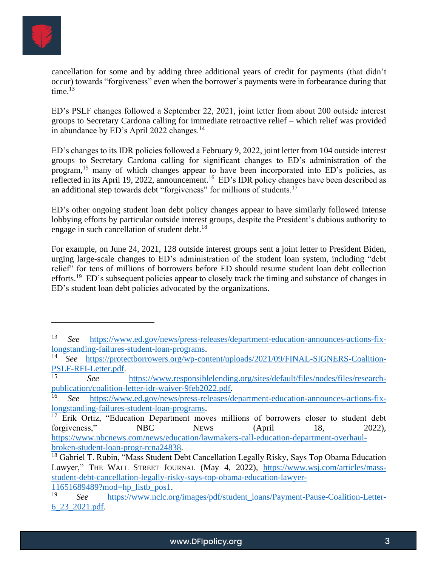

cancellation for some and by adding three additional years of credit for payments (that didn't occur) towards "forgiveness" even when the borrower's payments were in forbearance during that time. $13$ 

ED's PSLF changes followed a September 22, 2021, joint letter from about 200 outside interest groups to Secretary Cardona calling for immediate retroactive relief – which relief was provided in abundance by ED's April 2022 changes.<sup>14</sup>

ED's changes to its IDR policies followed a February 9, 2022, joint letter from 104 outside interest groups to Secretary Cardona calling for significant changes to ED's administration of the program,<sup>15</sup> many of which changes appear to have been incorporated into ED's policies, as reflected in its April 19, 2022, announcement.<sup>16</sup> ED's IDR policy changes have been described as an additional step towards debt "forgiveness" for millions of students.<sup>17</sup>

ED's other ongoing student loan debt policy changes appear to have similarly followed intense lobbying efforts by particular outside interest groups, despite the President's dubious authority to engage in such cancellation of student debt.<sup>18</sup>

For example, on June 24, 2021, 128 outside interest groups sent a joint letter to President Biden, urging large-scale changes to ED's administration of the student loan system, including "debt relief" for tens of millions of borrowers before ED should resume student loan debt collection efforts.<sup>19</sup> ED's subsequent policies appear to closely track the timing and substance of changes in ED's student loan debt policies advocated by the organizations.

[11651689489?mod=hp\\_listb\\_pos1.](https://www.wsj.com/articles/mass-student-debt-cancellation-legally-risky-says-top-obama-education-lawyer-11651689489?mod=hp_listb_pos1)

<sup>13</sup> *See* [https://www.ed.gov/news/press-releases/department-education-announces-actions-fix](https://www.ed.gov/news/press-releases/department-education-announces-actions-fix-longstanding-failures-student-loan-programs)[longstanding-failures-student-loan-programs.](https://www.ed.gov/news/press-releases/department-education-announces-actions-fix-longstanding-failures-student-loan-programs)<br><sup>14</sup> See https://protectborrowers.org/wp-cor

See [https://protectborrowers.org/wp-content/uploads/2021/09/FINAL-SIGNERS-Coalition-](https://protectborrowers.org/wp-content/uploads/2021/09/FINAL-SIGNERS-Coalition-PSLF-RFI-Letter.pdf)[PSLF-RFI-Letter.pdf.](https://protectborrowers.org/wp-content/uploads/2021/09/FINAL-SIGNERS-Coalition-PSLF-RFI-Letter.pdf)

<sup>15</sup> *See* [https://www.responsiblelending.org/sites/default/files/nodes/files/research](https://www.responsiblelending.org/sites/default/files/nodes/files/research-publication/coalition-letter-idr-waiver-9feb2022.pdf)[publication/coalition-letter-idr-waiver-9feb2022.pdf.](https://www.responsiblelending.org/sites/default/files/nodes/files/research-publication/coalition-letter-idr-waiver-9feb2022.pdf)

<sup>16</sup> *See* [https://www.ed.gov/news/press-releases/department-education-announces-actions-fix](https://www.ed.gov/news/press-releases/department-education-announces-actions-fix-longstanding-failures-student-loan-programs)[longstanding-failures-student-loan-programs.](https://www.ed.gov/news/press-releases/department-education-announces-actions-fix-longstanding-failures-student-loan-programs)

 $17$  Erik Ortiz, "Education Department moves millions of borrowers closer to student debt forgiveness," NBC NEWS (April 18, 2022), [https://www.nbcnews.com/news/education/lawmakers-call-education-department-overhaul](https://www.nbcnews.com/news/education/lawmakers-call-education-department-overhaul-broken-student-loan-progr-rcna24838)[broken-student-loan-progr-rcna24838.](https://www.nbcnews.com/news/education/lawmakers-call-education-department-overhaul-broken-student-loan-progr-rcna24838)

 $18$  Gabriel T. Rubin, "Mass Student Debt Cancellation Legally Risky, Says Top Obama Education Lawyer," THE WALL STREET JOURNAL (May 4, 2022), [https://www.wsj.com/articles/mass](https://www.wsj.com/articles/mass-student-debt-cancellation-legally-risky-says-top-obama-education-lawyer-11651689489?mod=hp_listb_pos1)[student-debt-cancellation-legally-risky-says-top-obama-education-lawyer-](https://www.wsj.com/articles/mass-student-debt-cancellation-legally-risky-says-top-obama-education-lawyer-11651689489?mod=hp_listb_pos1)

<sup>19</sup> *See* [https://www.nclc.org/images/pdf/student\\_loans/Payment-Pause-Coalition-Letter-](https://www.nclc.org/images/pdf/student_loans/Payment-Pause-Coalition-Letter-6_23_2021.pdf)[6\\_23\\_2021.pdf.](https://www.nclc.org/images/pdf/student_loans/Payment-Pause-Coalition-Letter-6_23_2021.pdf)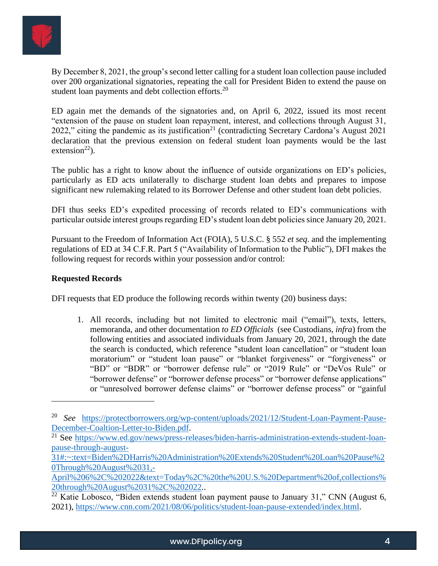

By December 8, 2021, the group's second letter calling for a student loan collection pause included over 200 organizational signatories, repeating the call for President Biden to extend the pause on student loan payments and debt collection efforts.<sup>20</sup>

ED again met the demands of the signatories and, on April 6, 2022, issued its most recent "extension of the pause on student loan repayment, interest, and collections through August 31, 2022," citing the pandemic as its justification<sup>21</sup> (contradicting Secretary Cardona's August 2021) declaration that the previous extension on federal student loan payments would be the last extension<sup>22</sup>).

The public has a right to know about the influence of outside organizations on ED's policies, particularly as ED acts unilaterally to discharge student loan debts and prepares to impose significant new rulemaking related to its Borrower Defense and other student loan debt policies.

DFI thus seeks ED's expedited processing of records related to ED's communications with particular outside interest groups regarding ED's student loan debt policies since January 20, 2021.

Pursuant to the Freedom of Information Act (FOIA), 5 U.S.C. § 552 *et seq*. and the implementing regulations of ED at 34 C.F.R. Part 5 ("Availability of Information to the Public"), DFI makes the following request for records within your possession and/or control:

## **Requested Records**

DFI requests that ED produce the following records within twenty (20) business days:

1. All records, including but not limited to electronic mail ("email"), texts, letters, memoranda, and other documentation *to ED Officials* (see Custodians, *infra*) from the following entities and associated individuals from January 20, 2021, through the date the search is conducted, which reference "student loan cancellation" or "student loan moratorium" or "student loan pause" or "blanket forgiveness" or "forgiveness" or "BD" or "BDR" or "borrower defense rule" or "2019 Rule" or "DeVos Rule" or "borrower defense" or "borrower defense process" or "borrower defense applications" or "unresolved borrower defense claims" or "borrower defense process" or "gainful

<sup>20</sup> *See* [https://protectborrowers.org/wp-content/uploads/2021/12/Student-Loan-Payment-Pause-](https://protectborrowers.org/wp-content/uploads/2021/12/Student-Loan-Payment-Pause-December-Coaltion-Letter-to-Biden.pdf)[December-Coaltion-Letter-to-Biden.pdf.](https://protectborrowers.org/wp-content/uploads/2021/12/Student-Loan-Payment-Pause-December-Coaltion-Letter-to-Biden.pdf)

<sup>&</sup>lt;sup>21</sup> See [https://www.ed.gov/news/press-releases/biden-harris-administration-extends-student-loan](https://www.ed.gov/news/press-releases/biden-harris-administration-extends-student-loan-pause-through-august-31#:~:text=Biden%2DHarris%20Administration%20Extends%20Student%20Loan%20Pause%20Through%20August%2031,-April%206%2C%202022&text=Today%2C%20the%20U.S.%20Department%20of,collections%20through%20August%2031%2C%202022)[pause-through-august-](https://www.ed.gov/news/press-releases/biden-harris-administration-extends-student-loan-pause-through-august-31#:~:text=Biden%2DHarris%20Administration%20Extends%20Student%20Loan%20Pause%20Through%20August%2031,-April%206%2C%202022&text=Today%2C%20the%20U.S.%20Department%20of,collections%20through%20August%2031%2C%202022)

[<sup>31#:~:</sup>text=Biden%2DHarris%20Administration%20Extends%20Student%20Loan%20Pause%2](https://www.ed.gov/news/press-releases/biden-harris-administration-extends-student-loan-pause-through-august-31#:~:text=Biden%2DHarris%20Administration%20Extends%20Student%20Loan%20Pause%20Through%20August%2031,-April%206%2C%202022&text=Today%2C%20the%20U.S.%20Department%20of,collections%20through%20August%2031%2C%202022) [0Through%20August%2031,-](https://www.ed.gov/news/press-releases/biden-harris-administration-extends-student-loan-pause-through-august-31#:~:text=Biden%2DHarris%20Administration%20Extends%20Student%20Loan%20Pause%20Through%20August%2031,-April%206%2C%202022&text=Today%2C%20the%20U.S.%20Department%20of,collections%20through%20August%2031%2C%202022)

[April%206%2C%202022&text=Today%2C%20the%20U.S.%20Department%20of,collections%](https://www.ed.gov/news/press-releases/biden-harris-administration-extends-student-loan-pause-through-august-31#:~:text=Biden%2DHarris%20Administration%20Extends%20Student%20Loan%20Pause%20Through%20August%2031,-April%206%2C%202022&text=Today%2C%20the%20U.S.%20Department%20of,collections%20through%20August%2031%2C%202022) [20through%20August%2031%2C%202022.](https://www.ed.gov/news/press-releases/biden-harris-administration-extends-student-loan-pause-through-august-31#:~:text=Biden%2DHarris%20Administration%20Extends%20Student%20Loan%20Pause%20Through%20August%2031,-April%206%2C%202022&text=Today%2C%20the%20U.S.%20Department%20of,collections%20through%20August%2031%2C%202022).

 $22$  Katie Lobosco, "Biden extends student loan payment pause to January 31," CNN (August 6, 2021), [https://www.cnn.com/2021/08/06/politics/student-loan-pause-extended/index.html.](https://www.cnn.com/2021/08/06/politics/student-loan-pause-extended/index.html)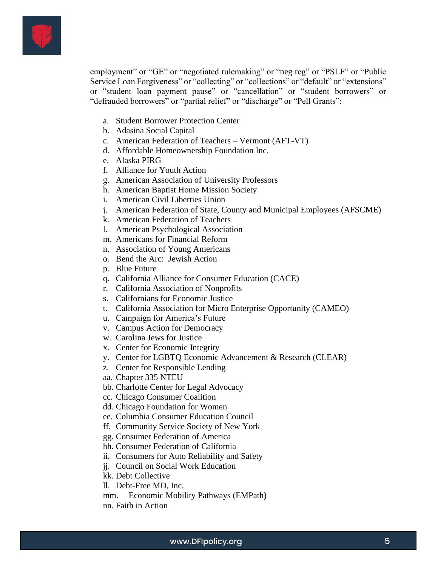

employment" or "GE" or "negotiated rulemaking" or "neg reg" or "PSLF" or "Public Service Loan Forgiveness" or "collecting" or "collections" or "default" or "extensions" or "student loan payment pause" or "cancellation" or "student borrowers" or "defrauded borrowers" or "partial relief" or "discharge" or "Pell Grants":

- a. Student Borrower Protection Center
- b. Adasina Social Capital
- c. American Federation of Teachers Vermont (AFT-VT)
- d. Affordable Homeownership Foundation Inc.
- e. Alaska PIRG
- f. Alliance for Youth Action
- g. American Association of University Professors
- h. American Baptist Home Mission Society
- i. American Civil Liberties Union
- j. American Federation of State, County and Municipal Employees (AFSCME)
- k. American Federation of Teachers
- l. American Psychological Association
- m. Americans for Financial Reform
- n. Association of Young Americans
- o. Bend the Arc: Jewish Action
- p. Blue Future
- q. California Alliance for Consumer Education (CACE)
- r. California Association of Nonprofits
- s. Californians for Economic Justice
- t. California Association for Micro Enterprise Opportunity (CAMEO)
- u. Campaign for America's Future
- v. Campus Action for Democracy
- w. Carolina Jews for Justice
- x. Center for Economic Integrity
- y. Center for LGBTQ Economic Advancement & Research (CLEAR)
- z. Center for Responsible Lending
- aa. Chapter 335 NTEU
- bb. Charlotte Center for Legal Advocacy
- cc. Chicago Consumer Coalition
- dd. Chicago Foundation for Women
- ee. Columbia Consumer Education Council
- ff. Community Service Society of New York
- gg. Consumer Federation of America
- hh. Consumer Federation of California
- ii. Consumers for Auto Reliability and Safety
- jj. Council on Social Work Education
- kk. Debt Collective
- ll. Debt-Free MD, Inc.
- mm. Economic Mobility Pathways (EMPath) nn. Faith in Action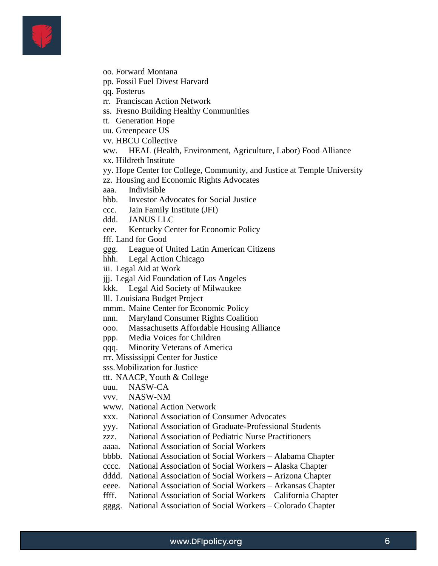

- oo. Forward Montana
- pp. Fossil Fuel Divest Harvard
- qq. Fosterus
- rr. Franciscan Action Network
- ss. Fresno Building Healthy Communities
- tt. Generation Hope
- uu. Greenpeace US
- vv. HBCU Collective
- ww. HEAL (Health, Environment, Agriculture, Labor) Food Alliance
- xx. Hildreth Institute
- yy. Hope Center for College, Community, and Justice at Temple University
- zz. Housing and Economic Rights Advocates
- aaa. Indivisible
- bbb. Investor Advocates for Social Justice
- ccc. Jain Family Institute (JFI)
- ddd. JANUS LLC
- eee. Kentucky Center for Economic Policy
- fff. Land for Good
- ggg. League of United Latin American Citizens
- hhh. Legal Action Chicago
- iii. Legal Aid at Work
- jjj. Legal Aid Foundation of Los Angeles
- kkk. Legal Aid Society of Milwaukee
- lll. Louisiana Budget Project
- mmm. Maine Center for Economic Policy
- nnn. Maryland Consumer Rights Coalition
- ooo. Massachusetts Affordable Housing Alliance
- ppp. Media Voices for Children
- qqq. Minority Veterans of America
- rrr. Mississippi Center for Justice
- sss.Mobilization for Justice
- ttt. NAACP, Youth & College
- uuu. NASW-CA
- vvv. NASW-NM
- www. National Action Network
- xxx. National Association of Consumer Advocates
- yyy. National Association of Graduate-Professional Students
- zzz. National Association of Pediatric Nurse Practitioners
- aaaa. National Association of Social Workers
- bbbb. National Association of Social Workers Alabama Chapter
- cccc. National Association of Social Workers Alaska Chapter
- dddd. National Association of Social Workers Arizona Chapter
- eeee. National Association of Social Workers Arkansas Chapter
- ffff. National Association of Social Workers California Chapter
- gggg. National Association of Social Workers Colorado Chapter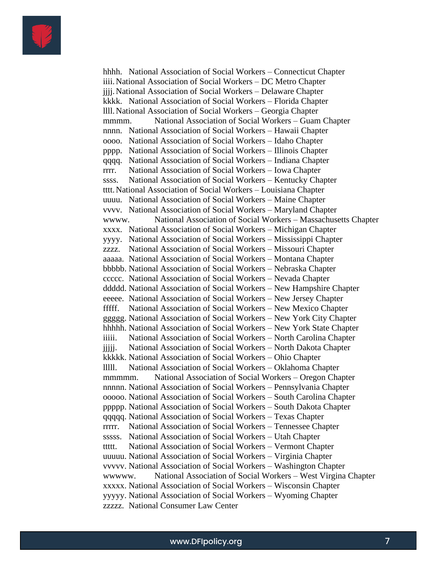

hhhh. National Association of Social Workers – Connecticut Chapter iiii.National Association of Social Workers – DC Metro Chapter jjjj.National Association of Social Workers – Delaware Chapter kkkk. National Association of Social Workers – Florida Chapter llll.National Association of Social Workers – Georgia Chapter mmmm. National Association of Social Workers – Guam Chapter nnnn. National Association of Social Workers – Hawaii Chapter oooo. National Association of Social Workers – Idaho Chapter pppp. National Association of Social Workers – Illinois Chapter qqqq. National Association of Social Workers – Indiana Chapter rrrr. National Association of Social Workers – Iowa Chapter ssss. National Association of Social Workers – Kentucky Chapter tttt.National Association of Social Workers – Louisiana Chapter uuuu. National Association of Social Workers – Maine Chapter vvvv. National Association of Social Workers – Maryland Chapter wwww. National Association of Social Workers – Massachusetts Chapter xxxx. National Association of Social Workers – Michigan Chapter yyyy. National Association of Social Workers – Mississippi Chapter zzzz. National Association of Social Workers – Missouri Chapter aaaaa. National Association of Social Workers – Montana Chapter bbbbb. National Association of Social Workers – Nebraska Chapter ccccc. National Association of Social Workers – Nevada Chapter ddddd. National Association of Social Workers – New Hampshire Chapter eeeee. National Association of Social Workers – New Jersey Chapter fffff. National Association of Social Workers – New Mexico Chapter ggggg. National Association of Social Workers – New York City Chapter hhhhh. National Association of Social Workers – New York State Chapter iiiii. National Association of Social Workers – North Carolina Chapter jjjjj. National Association of Social Workers – North Dakota Chapter kkkkk. National Association of Social Workers – Ohio Chapter lllll. National Association of Social Workers – Oklahoma Chapter mmmmm. National Association of Social Workers – Oregon Chapter nnnnn. National Association of Social Workers – Pennsylvania Chapter ooooo. National Association of Social Workers – South Carolina Chapter ppppp. National Association of Social Workers – South Dakota Chapter qqqqq. National Association of Social Workers – Texas Chapter rrrrr. National Association of Social Workers – Tennessee Chapter sssss. National Association of Social Workers – Utah Chapter ttttt. National Association of Social Workers – Vermont Chapter uuuuu. National Association of Social Workers – Virginia Chapter vvvvv. National Association of Social Workers – Washington Chapter wwwww. National Association of Social Workers – West Virgina Chapter xxxxx. National Association of Social Workers – Wisconsin Chapter yyyyy. National Association of Social Workers – Wyoming Chapter zzzzz. National Consumer Law Center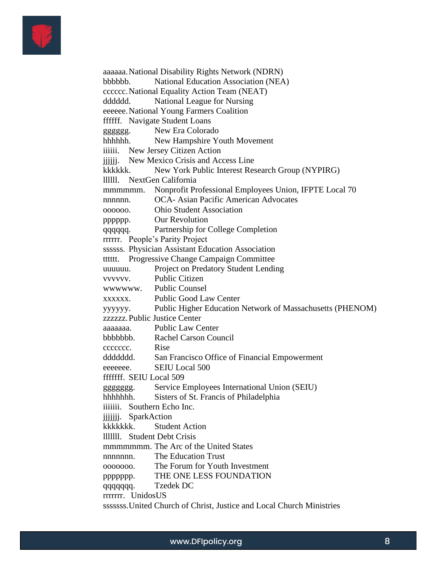

aaaaaa.National Disability Rights Network (NDRN) bbbbbb. National Education Association (NEA) cccccc.National Equality Action Team (NEAT) dddddd. National League for Nursing eeeeee.National Young Farmers Coalition ffffff. Navigate Student Loans gggggg. New Era Colorado hhhhhh. New Hampshire Youth Movement iiiiii. New Jersey Citizen Action jjjjjj. New Mexico Crisis and Access Line kkkkkk. New York Public Interest Research Group (NYPIRG) llllll. NextGen California mmmmmm. Nonprofit Professional Employees Union, IFPTE Local 70 nnnnnn. OCA- Asian Pacific American Advocates oooooo. Ohio Student Association pppppp. Our Revolution qqqqqq. Partnership for College Completion rrrrrr. People's Parity Project ssssss. Physician Assistant Education Association tttttt. Progressive Change Campaign Committee uuuuuu. Project on Predatory Student Lending vvvvvv. Public Citizen wwwwww. Public Counsel xxxxxx. Public Good Law Center yyyyyy. Public Higher Education Network of Massachusetts (PHENOM) zzzzzz.Public Justice Center aaaaaaa. Public Law Center bbbbbbb. Rachel Carson Council ccccccc. Rise ddddddd. San Francisco Office of Financial Empowerment eeeeee. SEIU Local 500 fffffff. SEIU Local 509 ggggggg. Service Employees International Union (SEIU) hhhhhhh. Sisters of St. Francis of Philadelphia iiiiiii. Southern Echo Inc. jijijij. SparkAction kkkkkkk. Student Action lllllll. Student Debt Crisis mmmmmmmmmmmm. The Arc of the United States nnnnnnn. The Education Trust ooooooo. The Forum for Youth Investment ppppppp. THE ONE LESS FOUNDATION qqqqqqq. Tzedek DC rrrrrrr. UnidosUS sssssss.United Church of Christ, Justice and Local Church Ministries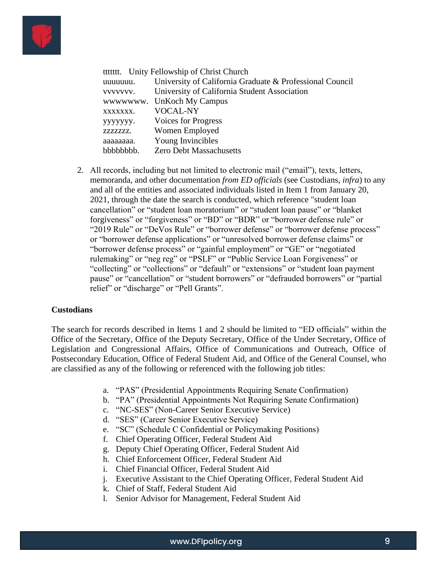

|           | ttttttt. Unity Fellowship of Christ Church               |
|-----------|----------------------------------------------------------|
| uuuuuu.   | University of California Graduate & Professional Council |
| VVVVVVV.  | University of California Student Association             |
|           | wwwwww. UnKoch My Campus                                 |
| XXXXXXX.  | <b>VOCAL-NY</b>                                          |
| ууууууу.  | Voices for Progress                                      |
| ZZZZZZZZ. | Women Employed                                           |
| аааааааа. | Young Invincibles                                        |
| bbbbbbbb. | <b>Zero Debt Massachusetts</b>                           |

2. All records, including but not limited to electronic mail ("email"), texts, letters, memoranda, and other documentation *from ED officials* (see Custodians, *infra*) to any and all of the entities and associated individuals listed in Item 1 from January 20, 2021, through the date the search is conducted, which reference "student loan cancellation" or "student loan moratorium" or "student loan pause" or "blanket forgiveness" or "forgiveness" or "BD" or "BDR" or "borrower defense rule" or "2019 Rule" or "DeVos Rule" or "borrower defense" or "borrower defense process" or "borrower defense applications" or "unresolved borrower defense claims" or "borrower defense process" or "gainful employment" or "GE" or "negotiated rulemaking" or "neg reg" or "PSLF" or "Public Service Loan Forgiveness" or "collecting" or "collections" or "default" or "extensions" or "student loan payment pause" or "cancellation" or "student borrowers" or "defrauded borrowers" or "partial relief" or "discharge" or "Pell Grants".

#### **Custodians**

The search for records described in Items 1 and 2 should be limited to "ED officials" within the Office of the Secretary, Office of the Deputy Secretary, Office of the Under Secretary, Office of Legislation and Congressional Affairs, Office of Communications and Outreach, Office of Postsecondary Education, Office of Federal Student Aid, and Office of the General Counsel, who are classified as any of the following or referenced with the following job titles:

- a. "PAS" (Presidential Appointments Requiring Senate Confirmation)
- b. "PA" (Presidential Appointments Not Requiring Senate Confirmation)
- c. "NC-SES" (Non-Career Senior Executive Service)
- d. "SES" (Career Senior Executive Service)
- e. "SC" (Schedule C Confidential or Policymaking Positions)
- f. Chief Operating Officer, Federal Student Aid
- g. Deputy Chief Operating Officer, Federal Student Aid
- h. Chief Enforcement Officer, Federal Student Aid
- i. Chief Financial Officer, Federal Student Aid
- j. Executive Assistant to the Chief Operating Officer, Federal Student Aid
- k. Chief of Staff, Federal Student Aid
- l. Senior Advisor for Management, Federal Student Aid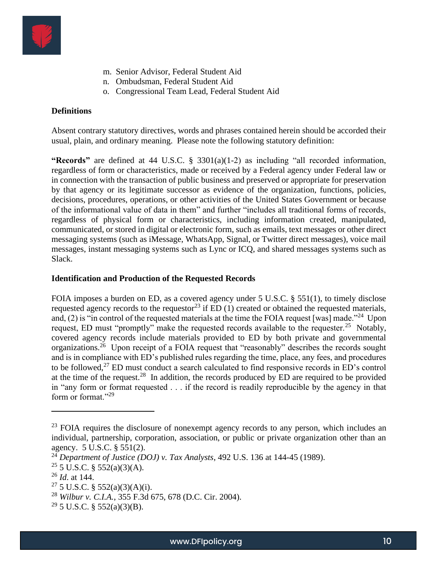

- m. Senior Advisor, Federal Student Aid
- n. Ombudsman, Federal Student Aid
- o. Congressional Team Lead, Federal Student Aid

### **Definitions**

Absent contrary statutory directives, words and phrases contained herein should be accorded their usual, plain, and ordinary meaning. Please note the following statutory definition:

**"Records"** are defined at 44 U.S.C. § 3301(a)(1-2) as including "all recorded information, regardless of form or characteristics, made or received by a Federal agency under Federal law or in connection with the transaction of public business and preserved or appropriate for preservation by that agency or its legitimate successor as evidence of the organization, functions, policies, decisions, procedures, operations, or other activities of the United States Government or because of the informational value of data in them" and further "includes all traditional forms of records, regardless of physical form or characteristics, including information created, manipulated, communicated, or stored in digital or electronic form, such as emails, text messages or other direct messaging systems (such as iMessage, WhatsApp, Signal, or Twitter direct messages), voice mail messages, instant messaging systems such as Lync or ICQ, and shared messages systems such as Slack.

### **Identification and Production of the Requested Records**

FOIA imposes a burden on ED, as a covered agency under 5 U.S.C. § 551(1), to timely disclose requested agency records to the requestor<sup>23</sup> if  $ED(1)$  created or obtained the requested materials, and, (2) is "in control of the requested materials at the time the FOIA request [was] made."<sup>24</sup> Upon request, ED must "promptly" make the requested records available to the requester.<sup>25</sup> Notably, covered agency records include materials provided to ED by both private and governmental organizations.<sup>26</sup> Upon receipt of a FOIA request that "reasonably" describes the records sought and is in compliance with ED's published rules regarding the time, place, any fees, and procedures to be followed, $^{27}$  ED must conduct a search calculated to find responsive records in ED's control at the time of the request.<sup>28</sup> In addition, the records produced by ED are required to be provided in "any form or format requested . . . if the record is readily reproducible by the agency in that form or format."<sup>29</sup>

<sup>&</sup>lt;sup>23</sup> FOIA requires the disclosure of nonexempt agency records to any person, which includes an individual, partnership, corporation, association, or public or private organization other than an agency. 5 U.S.C. § 551(2).

<sup>24</sup> *Department of Justice (DOJ) v. Tax Analysts*, 492 U.S. 136 at 144-45 (1989).

 $25 \overline{5}$  U.S.C. § 552(a)(3)(A).

<sup>26</sup> *Id*. at 144.

<sup>&</sup>lt;sup>27</sup> 5 U.S.C. § 552(a)(3)(A)(i).

<sup>28</sup> *Wilbur v. C.I.A.*, 355 F.3d 675, 678 (D.C. Cir. 2004).

 $29$  5 U.S.C. § 552(a)(3)(B).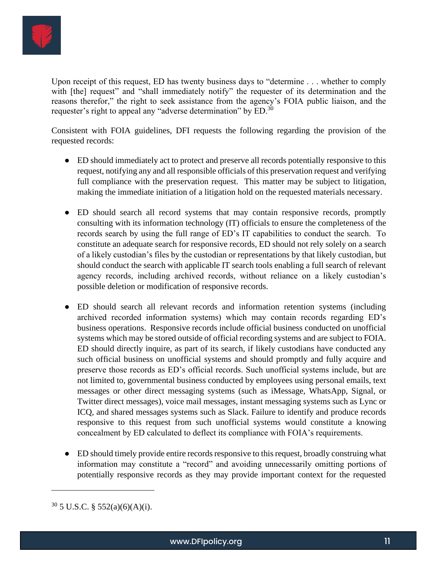

Upon receipt of this request, ED has twenty business days to "determine . . . whether to comply with [the] request" and "shall immediately notify" the requester of its determination and the reasons therefor," the right to seek assistance from the agency's FOIA public liaison, and the requester's right to appeal any "adverse determination" by ED.<sup>30</sup>

Consistent with FOIA guidelines, DFI requests the following regarding the provision of the requested records:

- ED should immediately act to protect and preserve all records potentially responsive to this request, notifying any and all responsible officials of this preservation request and verifying full compliance with the preservation request. This matter may be subject to litigation, making the immediate initiation of a litigation hold on the requested materials necessary.
- ED should search all record systems that may contain responsive records, promptly consulting with its information technology (IT) officials to ensure the completeness of the records search by using the full range of ED's IT capabilities to conduct the search. To constitute an adequate search for responsive records, ED should not rely solely on a search of a likely custodian's files by the custodian or representations by that likely custodian, but should conduct the search with applicable IT search tools enabling a full search of relevant agency records, including archived records, without reliance on a likely custodian's possible deletion or modification of responsive records.
- ED should search all relevant records and information retention systems (including archived recorded information systems) which may contain records regarding ED's business operations. Responsive records include official business conducted on unofficial systems which may be stored outside of official recording systems and are subject to FOIA. ED should directly inquire, as part of its search, if likely custodians have conducted any such official business on unofficial systems and should promptly and fully acquire and preserve those records as ED's official records. Such unofficial systems include, but are not limited to, governmental business conducted by employees using personal emails, text messages or other direct messaging systems (such as iMessage, WhatsApp, Signal, or Twitter direct messages), voice mail messages, instant messaging systems such as Lync or ICQ, and shared messages systems such as Slack. Failure to identify and produce records responsive to this request from such unofficial systems would constitute a knowing concealment by ED calculated to deflect its compliance with FOIA's requirements.
- ED should timely provide entire records responsive to this request, broadly construing what information may constitute a "record" and avoiding unnecessarily omitting portions of potentially responsive records as they may provide important context for the requested

 $30\,$  5 U.S.C. § 552(a)(6)(A)(i).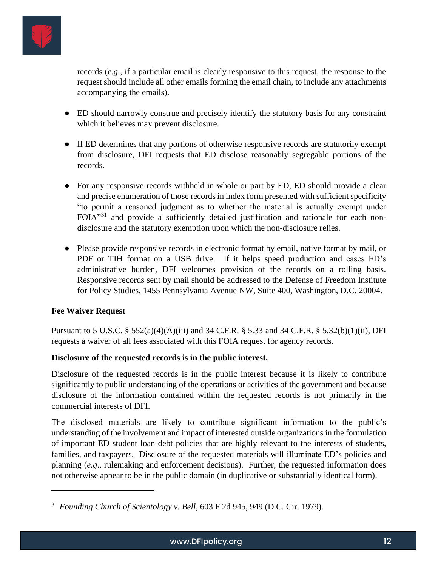

records (*e.g.,* if a particular email is clearly responsive to this request, the response to the request should include all other emails forming the email chain, to include any attachments accompanying the emails).

- ED should narrowly construe and precisely identify the statutory basis for any constraint which it believes may prevent disclosure.
- If ED determines that any portions of otherwise responsive records are statutorily exempt from disclosure, DFI requests that ED disclose reasonably segregable portions of the records.
- For any responsive records withheld in whole or part by ED, ED should provide a clear and precise enumeration of those records in index form presented with sufficient specificity "to permit a reasoned judgment as to whether the material is actually exempt under FOIA"<sup>31</sup> and provide a sufficiently detailed justification and rationale for each nondisclosure and the statutory exemption upon which the non-disclosure relies.
- Please provide responsive records in electronic format by email, native format by mail, or PDF or TIH format on a USB drive. If it helps speed production and eases ED's administrative burden, DFI welcomes provision of the records on a rolling basis. Responsive records sent by mail should be addressed to the Defense of Freedom Institute for Policy Studies, 1455 Pennsylvania Avenue NW, Suite 400, Washington, D.C. 20004.

### **Fee Waiver Request**

Pursuant to 5 U.S.C. § 552(a)(4)(A)(iii) and 34 C.F.R. § 5.33 and 34 C.F.R. § 5.32(b)(1)(ii), DFI requests a waiver of all fees associated with this FOIA request for agency records.

### **Disclosure of the requested records is in the public interest.**

Disclosure of the requested records is in the public interest because it is likely to contribute significantly to public understanding of the operations or activities of the government and because disclosure of the information contained within the requested records is not primarily in the commercial interests of DFI.

The disclosed materials are likely to contribute significant information to the public's understanding of the involvement and impact of interested outside organizations in the formulation of important ED student loan debt policies that are highly relevant to the interests of students, families, and taxpayers. Disclosure of the requested materials will illuminate ED's policies and planning (*e.g*., rulemaking and enforcement decisions). Further, the requested information does not otherwise appear to be in the public domain (in duplicative or substantially identical form).

<sup>31</sup> *Founding Church of Scientology v. Bell*, 603 F.2d 945, 949 (D.C. Cir. 1979).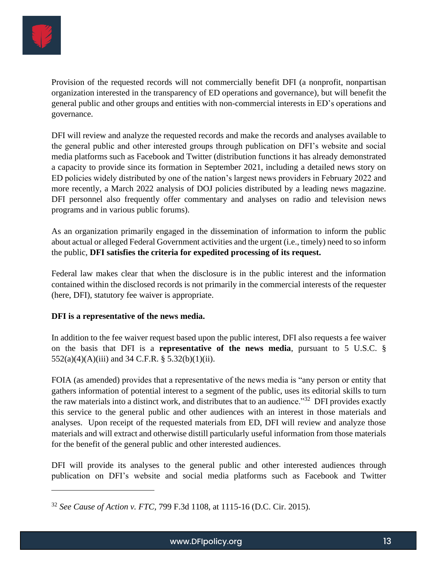

Provision of the requested records will not commercially benefit DFI (a nonprofit, nonpartisan organization interested in the transparency of ED operations and governance), but will benefit the general public and other groups and entities with non-commercial interests in ED's operations and governance.

DFI will review and analyze the requested records and make the records and analyses available to the general public and other interested groups through publication on DFI's website and social media platforms such as Facebook and Twitter (distribution functions it has already demonstrated a capacity to provide since its formation in September 2021, including a detailed news story on ED policies widely distributed by one of the nation's largest news providers in February 2022 and more recently, a March 2022 analysis of DOJ policies distributed by a leading news magazine. DFI personnel also frequently offer commentary and analyses on radio and television news programs and in various public forums).

As an organization primarily engaged in the dissemination of information to inform the public about actual or alleged Federal Government activities and the urgent (i.e., timely) need to so inform the public, **DFI satisfies the criteria for expedited processing of its request.**

Federal law makes clear that when the disclosure is in the public interest and the information contained within the disclosed records is not primarily in the commercial interests of the requester (here, DFI), statutory fee waiver is appropriate.

### **DFI is a representative of the news media.**

In addition to the fee waiver request based upon the public interest, DFI also requests a fee waiver on the basis that DFI is a **representative of the news media**, pursuant to 5 U.S.C. §  $552(a)(4)(A)(iii)$  and 34 C.F.R. §  $5.32(b)(1)(ii)$ .

FOIA (as amended) provides that a representative of the news media is "any person or entity that gathers information of potential interest to a segment of the public, uses its editorial skills to turn the raw materials into a distinct work, and distributes that to an audience."<sup>32</sup> DFI provides exactly this service to the general public and other audiences with an interest in those materials and analyses. Upon receipt of the requested materials from ED, DFI will review and analyze those materials and will extract and otherwise distill particularly useful information from those materials for the benefit of the general public and other interested audiences.

DFI will provide its analyses to the general public and other interested audiences through publication on DFI's website and social media platforms such as Facebook and Twitter

<sup>32</sup> *See Cause of Action v. FTC,* 799 F.3d 1108, at 1115-16 (D.C. Cir. 2015).